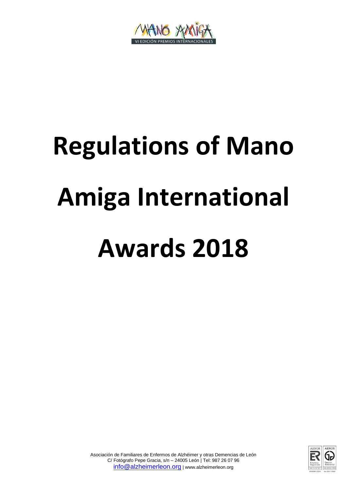

# **Regulations of Mano Amiga International Awards 2018**

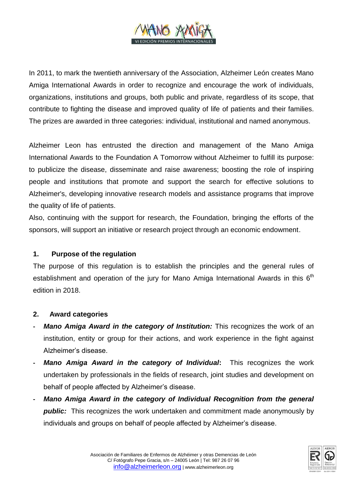

In 2011, to mark the twentieth anniversary of the Association, Alzheimer León creates Mano Amiga International Awards in order to recognize and encourage the work of individuals, organizations, institutions and groups, both public and private, regardless of its scope, that contribute to fighting the disease and improved quality of life of patients and their families. The prizes are awarded in three categories: individual, institutional and named anonymous.

Alzheimer Leon has entrusted the direction and management of the Mano Amiga International Awards to the Foundation A Tomorrow without Alzheimer to fulfill its purpose: to publicize the disease, disseminate and raise awareness; boosting the role of inspiring people and institutions that promote and support the search for effective solutions to Alzheimer's, developing innovative research models and assistance programs that improve the quality of life of patients.

Also, continuing with the support for research, the Foundation, bringing the efforts of the sponsors, will support an initiative or research project through an economic endowment.

# **1. Purpose of the regulation**

The purpose of this regulation is to establish the principles and the general rules of establishment and operation of the jury for Mano Amiga International Awards in this  $6<sup>th</sup>$ edition in 2018.

# **2. Award categories**

- *Mano Amiga Award in the category of Institution:* **This recognizes the work of an** institution, entity or group for their actions, and work experience in the fight against Alzheimer's disease.
- **-** *Mano Amiga Award in the category of Individual***:** This recognizes the work undertaken by professionals in the fields of research, joint studies and development on behalf of people affected by Alzheimer's disease.
- **-** *Mano Amiga Award in the category of Individual Recognition from the general*  **public:** This recognizes the work undertaken and commitment made anonymously by individuals and groups on behalf of people affected by Alzheimer's disease.

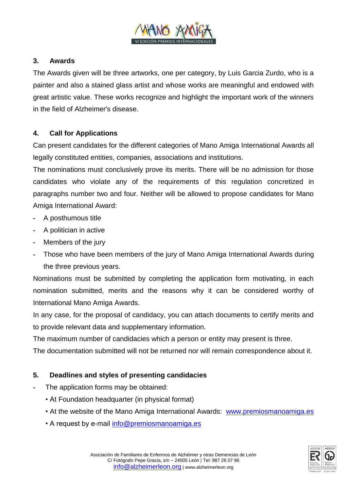

# **3. Awards**

The Awards given will be three artworks, one per category, by Luis Garcia Zurdo, who is a painter and also a stained glass artist and whose works are meaningful and endowed with great artistic value. These works recognize and highlight the important work of the winners in the field of Alzheimer's disease.

### **4. Call for Applications**

Can present candidates for the different categories of Mano Amiga International Awards all legally constituted entities, companies, associations and institutions.

The nominations must conclusively prove its merits. There will be no admission for those candidates who violate any of the requirements of this regulation concretized in paragraphs number two and four. Neither will be allowed to propose candidates for Mano Amiga International Award:

- **-** A posthumous title
- **-** A politician in active
- **-** Members of the jury
- **-** Those who have been members of the jury of Mano Amiga International Awards during the three previous years.

Nominations must be submitted by completing the application form motivating, in each nomination submitted, merits and the reasons why it can be considered worthy of International Mano Amiga Awards.

In any case, for the proposal of candidacy, you can attach documents to certify merits and to provide relevant data and supplementary information.

The maximum number of candidacies which a person or entity may present is three.

The documentation submitted will not be returned nor will remain correspondence about it.

# **5. Deadlines and styles of presenting candidacies**

- **-** The application forms may be obtained:
	- At Foundation headquarter (in physical format)
	- At the website of the Mano Amiga International Awards:[www.premiosmanoamiga.es](http://www.premiosmanoamiga.es/)
	- A request by e-mail [info@premiosmanoamiga.es](mailto:info@premiosmanoamiga.es)